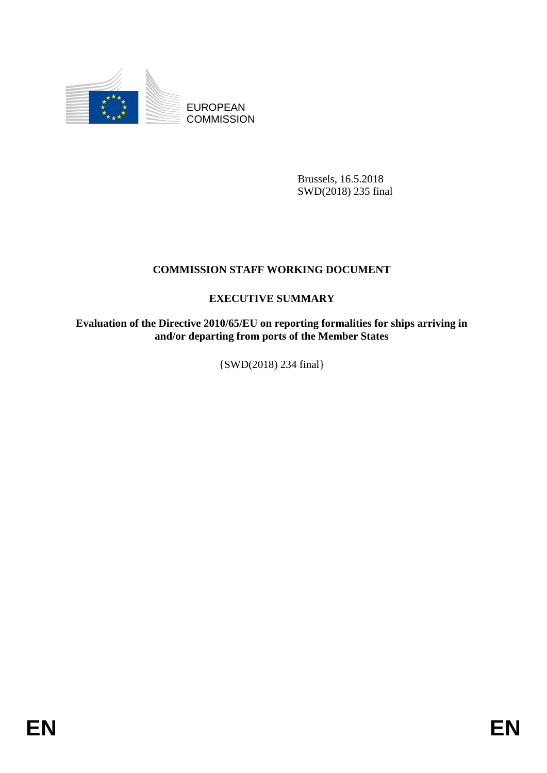

EUROPEAN **COMMISSION** 

> Brussels, 16.5.2018 SWD(2018) 235 final

# **COMMISSION STAFF WORKING DOCUMENT**

## **EXECUTIVE SUMMARY**

**Evaluation of the Directive 2010/65/EU on reporting formalities for ships arriving in and/or departing from ports of the Member States**

{SWD(2018) 234 final}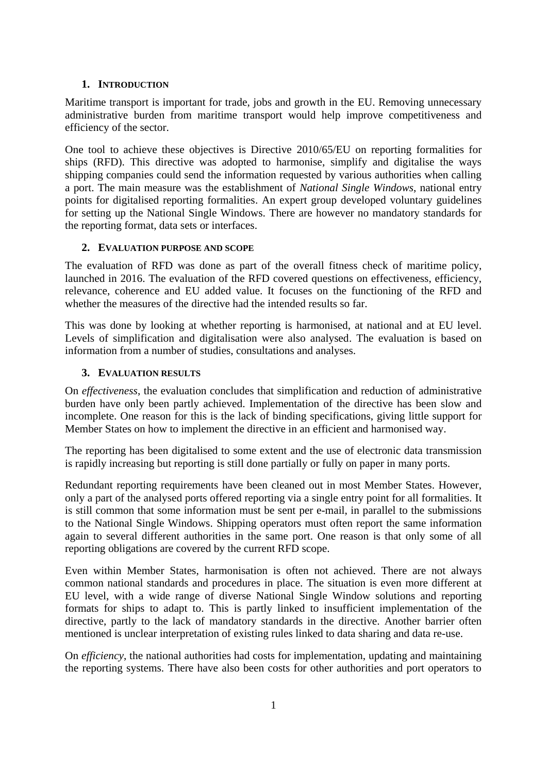#### **1. INTRODUCTION**

Maritime transport is important for trade, jobs and growth in the EU. Removing unnecessary administrative burden from maritime transport would help improve competitiveness and efficiency of the sector.

One tool to achieve these objectives is Directive 2010/65/EU on reporting formalities for ships (RFD). This directive was adopted to harmonise, simplify and digitalise the ways shipping companies could send the information requested by various authorities when calling a port. The main measure was the establishment of *National Single Windows*, national entry points for digitalised reporting formalities. An expert group developed voluntary guidelines for setting up the National Single Windows. There are however no mandatory standards for the reporting format, data sets or interfaces.

## **2. EVALUATION PURPOSE AND SCOPE**

The evaluation of RFD was done as part of the overall fitness check of maritime policy, launched in 2016. The evaluation of the RFD covered questions on effectiveness, efficiency, relevance, coherence and EU added value. It focuses on the functioning of the RFD and whether the measures of the directive had the intended results so far.

This was done by looking at whether reporting is harmonised, at national and at EU level. Levels of simplification and digitalisation were also analysed. The evaluation is based on information from a number of studies, consultations and analyses.

## **3. EVALUATION RESULTS**

On *effectiveness*, the evaluation concludes that simplification and reduction of administrative burden have only been partly achieved. Implementation of the directive has been slow and incomplete. One reason for this is the lack of binding specifications, giving little support for Member States on how to implement the directive in an efficient and harmonised way.

The reporting has been digitalised to some extent and the use of electronic data transmission is rapidly increasing but reporting is still done partially or fully on paper in many ports.

Redundant reporting requirements have been cleaned out in most Member States. However, only a part of the analysed ports offered reporting via a single entry point for all formalities. It is still common that some information must be sent per e-mail, in parallel to the submissions to the National Single Windows. Shipping operators must often report the same information again to several different authorities in the same port. One reason is that only some of all reporting obligations are covered by the current RFD scope.

Even within Member States, harmonisation is often not achieved. There are not always common national standards and procedures in place. The situation is even more different at EU level, with a wide range of diverse National Single Window solutions and reporting formats for ships to adapt to. This is partly linked to insufficient implementation of the directive, partly to the lack of mandatory standards in the directive. Another barrier often mentioned is unclear interpretation of existing rules linked to data sharing and data re-use.

On *efficiency*, the national authorities had costs for implementation, updating and maintaining the reporting systems. There have also been costs for other authorities and port operators to